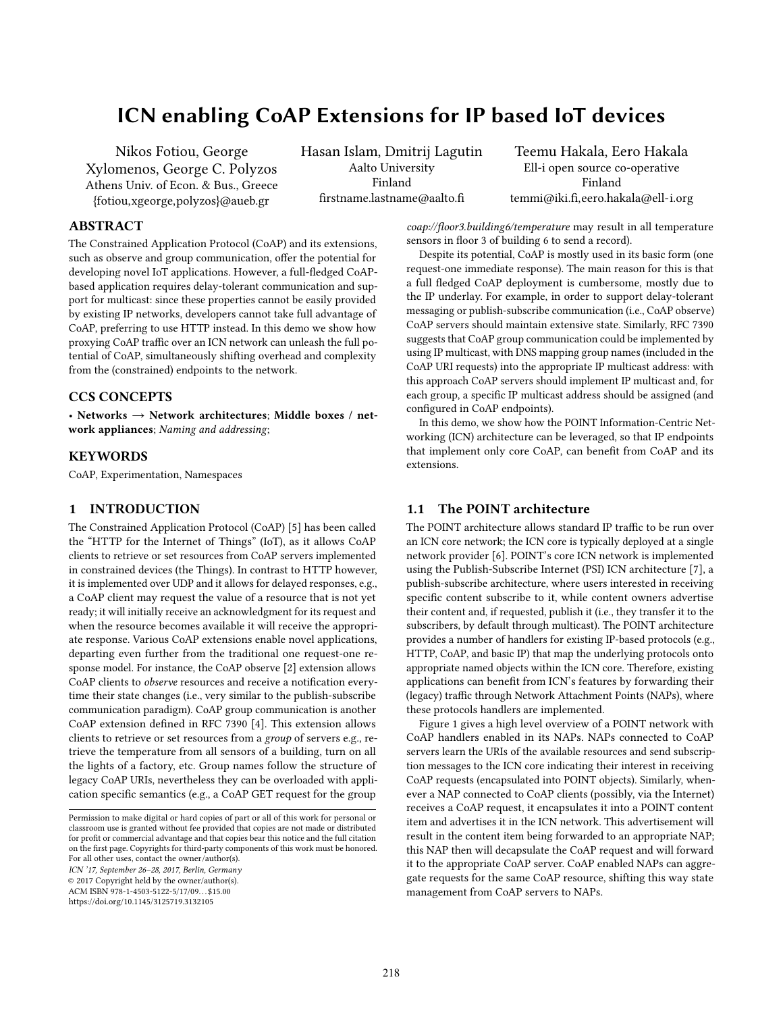# ICN enabling CoAP Extensions for IP based IoT devices

Nikos Fotiou, George Xylomenos, George C. Polyzos Athens Univ. of Econ. & Bus., Greece {fotiou,xgeorge,polyzos}@aueb.gr

Hasan Islam, Dmitrij Lagutin Aalto University Finland firstname.lastname@aalto.fi

Teemu Hakala, Eero Hakala Ell-i open source co-operative Finland temmi@iki.fi,eero.hakala@ell-i.org

### ABSTRACT

The Constrained Application Protocol (CoAP) and its extensions, such as observe and group communication, offer the potential for developing novel IoT applications. However, a full-fledged CoAPbased application requires delay-tolerant communication and support for multicast: since these properties cannot be easily provided by existing IP networks, developers cannot take full advantage of CoAP, preferring to use HTTP instead. In this demo we show how proxying CoAP traffic over an ICN network can unleash the full potential of CoAP, simultaneously shifting overhead and complexity from the (constrained) endpoints to the network.

### CCS CONCEPTS

• Networks  $\rightarrow$  Network architectures; Middle boxes / network appliances; Naming and addressing;

## **KEYWORDS**

CoAP, Experimentation, Namespaces

### 1 INTRODUCTION

The Constrained Application Protocol (CoAP) [\[5\]](#page-1-0) has been called the "HTTP for the Internet of Things" (IoT), as it allows CoAP clients to retrieve or set resources from CoAP servers implemented in constrained devices (the Things). In contrast to HTTP however, it is implemented over UDP and it allows for delayed responses, e.g., a CoAP client may request the value of a resource that is not yet ready; it will initially receive an acknowledgment for its request and when the resource becomes available it will receive the appropriate response. Various CoAP extensions enable novel applications, departing even further from the traditional one request-one response model. For instance, the CoAP observe [\[2\]](#page-1-1) extension allows CoAP clients to observe resources and receive a notification everytime their state changes (i.e., very similar to the publish-subscribe communication paradigm). CoAP group communication is another CoAP extension defined in RFC 7390 [\[4\]](#page-1-2). This extension allows clients to retrieve or set resources from a group of servers e.g., retrieve the temperature from all sensors of a building, turn on all the lights of a factory, etc. Group names follow the structure of legacy CoAP URIs, nevertheless they can be overloaded with application specific semantics (e.g., a CoAP GET request for the group

ICN '17, September 26–28, 2017, Berlin, Germany

© 2017 Copyright held by the owner/author(s).

ACM ISBN 978-1-4503-5122-5/17/09. . . \$15.00

<https://doi.org/10.1145/3125719.3132105>

coap://floor3.building6/temperature may result in all temperature sensors in floor 3 of building 6 to send a record).

Despite its potential, CoAP is mostly used in its basic form (one request-one immediate response). The main reason for this is that a full fledged CoAP deployment is cumbersome, mostly due to the IP underlay. For example, in order to support delay-tolerant messaging or publish-subscribe communication (i.e., CoAP observe) CoAP servers should maintain extensive state. Similarly, RFC 7390 suggests that CoAP group communication could be implemented by using IP multicast, with DNS mapping group names (included in the CoAP URI requests) into the appropriate IP multicast address: with this approach CoAP servers should implement IP multicast and, for each group, a specific IP multicast address should be assigned (and configured in CoAP endpoints).

In this demo, we show how the POINT Information-Centric Networking (ICN) architecture can be leveraged, so that IP endpoints that implement only core CoAP, can benefit from CoAP and its extensions.

### 1.1 The POINT architecture

The POINT architecture allows standard IP traffic to be run over an ICN core network; the ICN core is typically deployed at a single network provider [\[6\]](#page-1-3). POINT's core ICN network is implemented using the Publish-Subscribe Internet (PSI) ICN architecture [\[7\]](#page-1-4), a publish-subscribe architecture, where users interested in receiving specific content subscribe to it, while content owners advertise their content and, if requested, publish it (i.e., they transfer it to the subscribers, by default through multicast). The POINT architecture provides a number of handlers for existing IP-based protocols (e.g., HTTP, CoAP, and basic IP) that map the underlying protocols onto appropriate named objects within the ICN core. Therefore, existing applications can benefit from ICN's features by forwarding their (legacy) traffic through Network Attachment Points (NAPs), where these protocols handlers are implemented.

Figure [1](#page-1-5) gives a high level overview of a POINT network with CoAP handlers enabled in its NAPs. NAPs connected to CoAP servers learn the URIs of the available resources and send subscription messages to the ICN core indicating their interest in receiving CoAP requests (encapsulated into POINT objects). Similarly, whenever a NAP connected to CoAP clients (possibly, via the Internet) receives a CoAP request, it encapsulates it into a POINT content item and advertises it in the ICN network. This advertisement will result in the content item being forwarded to an appropriate NAP; this NAP then will decapsulate the CoAP request and will forward it to the appropriate CoAP server. CoAP enabled NAPs can aggregate requests for the same CoAP resource, shifting this way state management from CoAP servers to NAPs.

Permission to make digital or hard copies of part or all of this work for personal or classroom use is granted without fee provided that copies are not made or distributed for profit or commercial advantage and that copies bear this notice and the full citation on the first page. Copyrights for third-party components of this work must be honored. For all other uses, contact the owner/author(s).